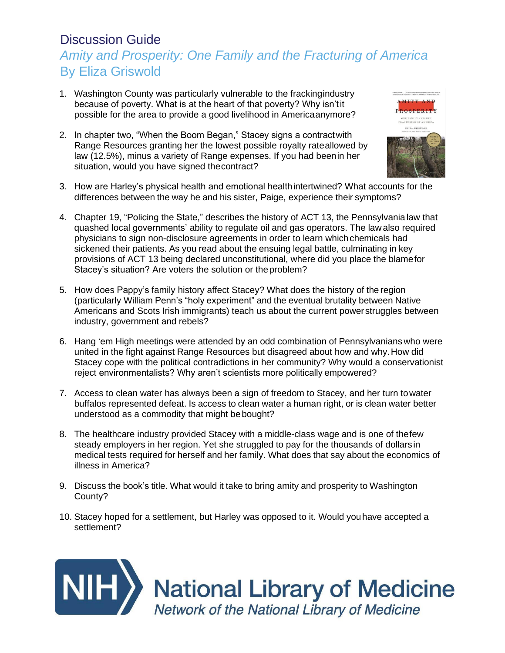### Discussion Guide *Amity and Prosperity: One Family and the Fracturing of America* By Eliza Griswold

- 1. Washington County was particularly vulnerable to the frackingindustry because of poverty. What is at the heart of that poverty? Why isn'tit possible for the area to provide a good livelihood in Americaanymore?
- 2. In chapter two, "When the Boom Began," Stacey signs a contractwith Range Resources granting her the lowest possible royalty rateallowed by law (12.5%), minus a variety of Range expenses. If you had beenin her situation, would you have signed thecontract?



- 3. How are Harley's physical health and emotional healthintertwined? What accounts for the differences between the way he and his sister, Paige, experience their symptoms?
- 4. Chapter 19, "Policing the State," describes the history of ACT 13, the Pennsylvania law that quashed local governments' ability to regulate oil and gas operators. The law also required physicians to sign non-disclosure agreements in order to learn which chemicals had sickened their patients. As you read about the ensuing legal battle, culminating in key provisions of ACT 13 being declared unconstitutional, where did you place the blamefor Stacey's situation? Are voters the solution or the problem?
- 5. How does Pappy's family history affect Stacey? What does the history of the region (particularly William Penn's "holy experiment" and the eventual brutality between Native Americans and Scots Irish immigrants) teach us about the current powerstruggles between industry, government and rebels?
- 6. Hang 'em High meetings were attended by an odd combination of Pennsylvanians who were united in the fight against Range Resources but disagreed about how and why.How did Stacey cope with the political contradictions in her community? Why would a conservationist reject environmentalists? Why aren't scientists more politically empowered?
- 7. Access to clean water has always been a sign of freedom to Stacey, and her turn towater buffalos represented defeat. Is access to clean water a human right, or is clean water better understood as a commodity that might bebought?
- 8. The healthcare industry provided Stacey with a middle-class wage and is one of thefew steady employers in her region. Yet she struggled to pay for the thousands of dollarsin medical tests required for herself and her family. What does that say about the economics of illness in America?
- 9. Discuss the book's title. What would it take to bring amity and prosperity to Washington County?
- 10. Stacey hoped for a settlement, but Harley was opposed to it. Would youhave accepted a settlement?



**NII-1** National Library of Medicine Network of the National Library of Medicine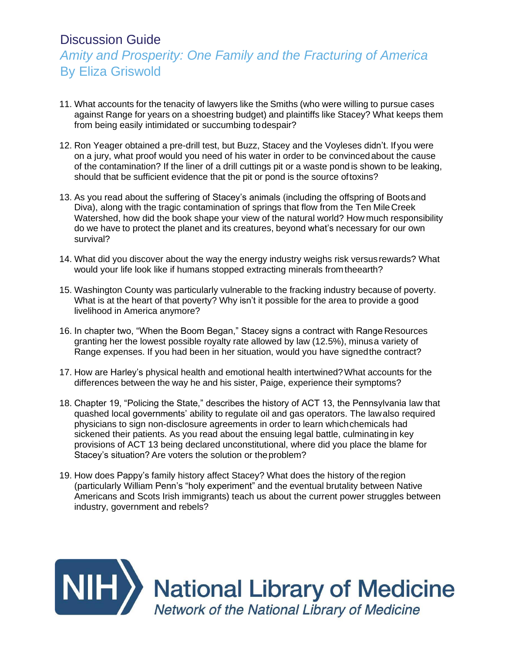### Discussion Guide

## *Amity and Prosperity: One Family and the Fracturing of America* By Eliza Griswold

- 11. What accounts for the tenacity of lawyers like the Smiths (who were willing to pursue cases against Range for years on a shoestring budget) and plaintiffs like Stacey? What keeps them from being easily intimidated or succumbing todespair?
- 12. Ron Yeager obtained a pre-drill test, but Buzz, Stacey and the Voyleses didn't. Ifyou were on a jury, what proof would you need of his water in order to be convincedabout the cause of the contamination? If the liner of a drill cuttings pit or a waste pond is shown to be leaking, should that be sufficient evidence that the pit or pond is the source oftoxins?
- 13. As you read about the suffering of Stacey's animals (including the offspring of Bootsand Diva), along with the tragic contamination of springs that flow from the Ten Mile Creek Watershed, how did the book shape your view of the natural world? How much responsibility do we have to protect the planet and its creatures, beyond what's necessary for our own survival?
- 14. What did you discover about the way the energy industry weighs risk versusrewards? What would your life look like if humans stopped extracting minerals from theearth?
- 15. Washington County was particularly vulnerable to the fracking industry because of poverty. What is at the heart of that poverty? Why isn't it possible for the area to provide a good livelihood in America anymore?
- 16. In chapter two, "When the Boom Began," Stacey signs a contract with Range Resources granting her the lowest possible royalty rate allowed by law (12.5%), minusa variety of Range expenses. If you had been in her situation, would you have signedthe contract?
- 17. How are Harley's physical health and emotional health intertwined?What accounts for the differences between the way he and his sister, Paige, experience their symptoms?
- 18. Chapter 19, "Policing the State," describes the history of ACT 13, the Pennsylvania law that quashed local governments' ability to regulate oil and gas operators. The lawalso required physicians to sign non-disclosure agreements in order to learn whichchemicals had sickened their patients. As you read about the ensuing legal battle, culminatingin key provisions of ACT 13 being declared unconstitutional, where did you place the blame for Stacey's situation? Are voters the solution or theproblem?
- 19. How does Pappy's family history affect Stacey? What does the history of the region (particularly William Penn's "holy experiment" and the eventual brutality between Native Americans and Scots Irish immigrants) teach us about the current power struggles between industry, government and rebels?